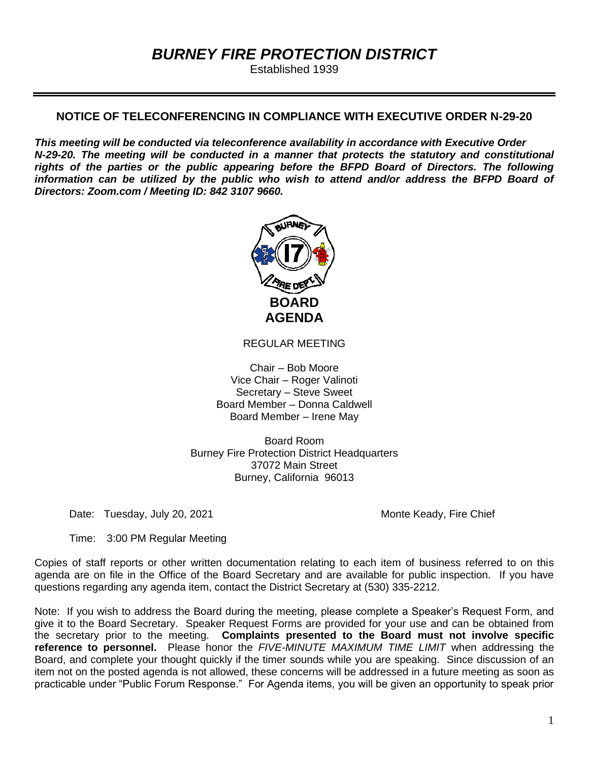# *BURNEY FIRE PROTECTION DISTRICT*

Established 1939

# **NOTICE OF TELECONFERENCING IN COMPLIANCE WITH EXECUTIVE ORDER N-29-20**

*This meeting will be conducted via teleconference availability in accordance with Executive Order N-29-20. The meeting will be conducted in a manner that protects the statutory and constitutional rights of the parties or the public appearing before the BFPD Board of Directors. The following information can be utilized by the public who wish to attend and/or address the BFPD Board of Directors: Zoom.com / Meeting ID: 842 3107 9660.*



REGULAR MEETING

Chair – Bob Moore Vice Chair – Roger Valinoti Secretary – Steve Sweet Board Member – Donna Caldwell Board Member – Irene May

Board Room Burney Fire Protection District Headquarters 37072 Main Street Burney, California 96013

Date: Tuesday, July 20, 2021 Monte Keady, Fire Chief

Time: 3:00 PM Regular Meeting

Copies of staff reports or other written documentation relating to each item of business referred to on this agenda are on file in the Office of the Board Secretary and are available for public inspection. If you have questions regarding any agenda item, contact the District Secretary at (530) 335-2212.

Note: If you wish to address the Board during the meeting, please complete a Speaker's Request Form, and give it to the Board Secretary. Speaker Request Forms are provided for your use and can be obtained from the secretary prior to the meeting. **Complaints presented to the Board must not involve specific reference to personnel.** Please honor the *FIVE-MINUTE MAXIMUM TIME LIMIT* when addressing the Board, and complete your thought quickly if the timer sounds while you are speaking. Since discussion of an item not on the posted agenda is not allowed, these concerns will be addressed in a future meeting as soon as practicable under "Public Forum Response." For Agenda items, you will be given an opportunity to speak prior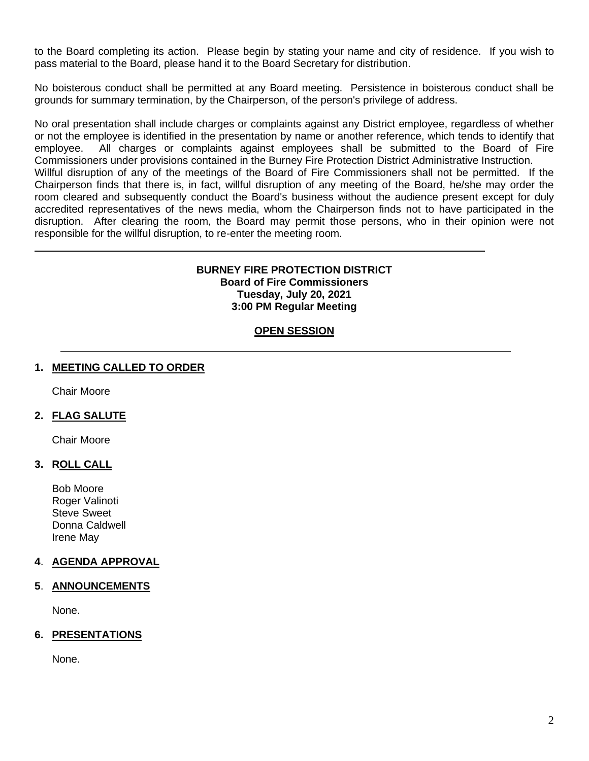to the Board completing its action. Please begin by stating your name and city of residence. If you wish to pass material to the Board, please hand it to the Board Secretary for distribution.

No boisterous conduct shall be permitted at any Board meeting. Persistence in boisterous conduct shall be grounds for summary termination, by the Chairperson, of the person's privilege of address.

No oral presentation shall include charges or complaints against any District employee, regardless of whether or not the employee is identified in the presentation by name or another reference, which tends to identify that employee. All charges or complaints against employees shall be submitted to the Board of Fire Commissioners under provisions contained in the Burney Fire Protection District Administrative Instruction.

Willful disruption of any of the meetings of the Board of Fire Commissioners shall not be permitted. If the Chairperson finds that there is, in fact, willful disruption of any meeting of the Board, he/she may order the room cleared and subsequently conduct the Board's business without the audience present except for duly accredited representatives of the news media, whom the Chairperson finds not to have participated in the disruption. After clearing the room, the Board may permit those persons, who in their opinion were not responsible for the willful disruption, to re-enter the meeting room.

### **BURNEY FIRE PROTECTION DISTRICT Board of Fire Commissioners Tuesday, July 20, 2021 3:00 PM Regular Meeting**

# **OPEN SESSION**

# **1. MEETING CALLED TO ORDER**

Chair Moore

# **2. FLAG SALUTE**

Chair Moore

# **3. ROLL CALL**

Bob Moore Roger Valinoti Steve Sweet Donna Caldwell Irene May

# **4**. **AGENDA APPROVAL**

# **5**. **ANNOUNCEMENTS**

None.

# **6. PRESENTATIONS**

None.